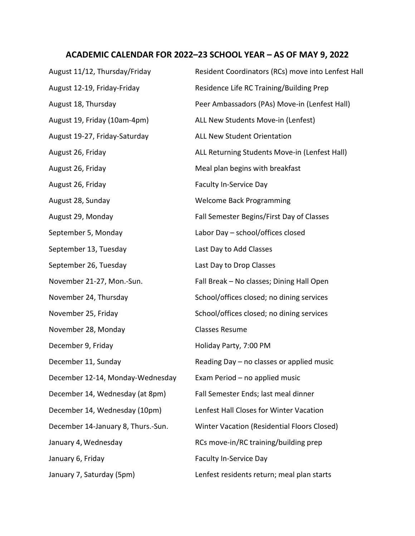## **ACADEMIC CALENDAR FOR 2022–23 SCHOOL YEAR – AS OF MAY 9, 2022**

August 11/12, Thursday/Friday Resident Coordinators (RCs) move into Lenfest Hall August 12-19, Friday-Friday Residence Life RC Training/Building Prep August 18, Thursday Peer Ambassadors (PAs) Move-in (Lenfest Hall) August 19, Friday (10am-4pm) ALL New Students Move-in (Lenfest) August 19-27, Friday-Saturday ALL New Student Orientation August 26, Friday ALL Returning Students Move-in (Lenfest Hall) August 26, Friday Meal plan begins with breakfast August 26, Friday Faculty In-Service Day August 28, Sunday Welcome Back Programming August 29, Monday Fall Semester Begins/First Day of Classes September 5, Monday Labor Day – school/offices closed September 13, Tuesday Last Day to Add Classes September 26, Tuesday Last Day to Drop Classes November 21-27, Mon.-Sun. Fall Break – No classes; Dining Hall Open November 24, Thursday School/offices closed; no dining services November 25, Friday School/offices closed; no dining services November 28, Monday Classes Resume December 9, Friday Notice and Holiday Party, 7:00 PM December 11, Sunday The Reading Day – no classes or applied music December 12-14, Monday-Wednesday Exam Period – no applied music December 14, Wednesday (at 8pm) Fall Semester Ends; last meal dinner December 14, Wednesday (10pm) Lenfest Hall Closes for Winter Vacation December 14-January 8, Thurs.-Sun. Winter Vacation (Residential Floors Closed) January 4, Wednesday **RCs move-in/RC training/building prep** January 6, Friday **Faculty In-Service Day** January 7, Saturday (5pm) Lenfest residents return; meal plan starts